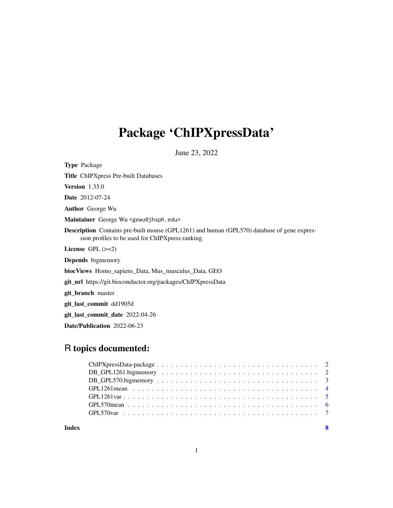## Package 'ChIPXpressData'

June 23, 2022

Type Package Title ChIPXpress Pre-built Databases Version 1.35.0 Date 2012-07-24 Author George Wu Maintainer George Wu <gewu@jhsph.edu> Description Contains pre-built mouse (GPL1261) and human (GPL570) database of gene expression profiles to be used for ChIPXpress ranking. License GPL (>=2) Depends bigmemory biocViews Homo\_sapiens\_Data, Mus\_musculus\_Data, GEO git\_url https://git.bioconductor.org/packages/ChIPXpressData git\_branch master git\_last\_commit dd1905d git\_last\_commit\_date 2022-04-26

Date/Publication 2022-06-23

### R topics documented:

| Index |                                                                                                                 | - 8 |
|-------|-----------------------------------------------------------------------------------------------------------------|-----|
|       |                                                                                                                 |     |
|       |                                                                                                                 |     |
|       |                                                                                                                 |     |
|       | GPL1261 mean entitled and such a series of the series of the series of the series of the series of the series o |     |
|       |                                                                                                                 |     |
|       |                                                                                                                 |     |
|       |                                                                                                                 |     |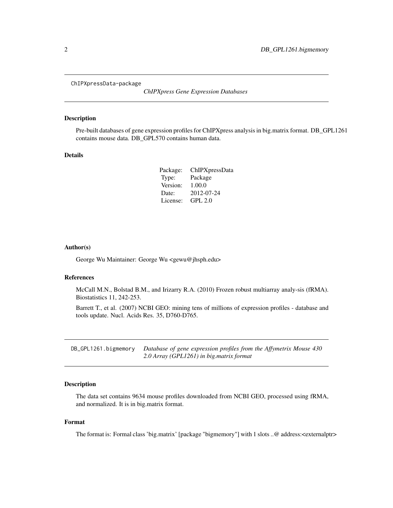<span id="page-1-0"></span>ChIPXpressData-package

*ChIPXpress Gene Expression Databases*

#### Description

Pre-built databases of gene expression profiles for ChIPXpress analysis in big.matrix format. DB\_GPL1261 contains mouse data. DB\_GPL570 contains human data.

#### Details

| Package: | ChIPXpressData |
|----------|----------------|
| Type:    | Package        |
| Version: | 1.00.0         |
| Date:    | 2012-07-24     |
| License: | <b>GPL 2.0</b> |

#### Author(s)

George Wu Maintainer: George Wu <gewu@jhsph.edu>

#### References

McCall M.N., Bolstad B.M., and Irizarry R.A. (2010) Frozen robust multiarray analy-sis (fRMA). Biostatistics 11, 242-253.

Barrett T., et al. (2007) NCBI GEO: mining tens of millions of expression profiles - database and tools update. Nucl. Acids Res. 35, D760-D765.

DB\_GPL1261.bigmemory *Database of gene expression profiles from the Affymetrix Mouse 430 2.0 Array (GPL1261) in big.matrix format*

#### Description

The data set contains 9634 mouse profiles downloaded from NCBI GEO, processed using fRMA, and normalized. It is in big.matrix format.

#### Format

The format is: Formal class 'big.matrix' [package "bigmemory"] with 1 slots ..@ address:<externalptr>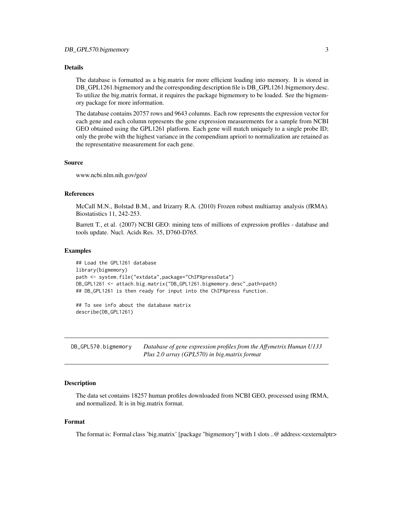#### <span id="page-2-0"></span>Details

The database is formatted as a big.matrix for more efficient loading into memory. It is stored in DB\_GPL1261.bigmemory and the corresponding description file is DB\_GPL1261.bigmemory.desc. To utilize the big.matrix format, it requires the package bigmemory to be loaded. See the bigmemory package for more information.

The database contains 20757 rows and 9643 columns. Each row represents the expression vector for each gene and each column represents the gene expression measurements for a sample from NCBI GEO obtained using the GPL1261 platform. Each gene will match uniquely to a single probe ID; only the probe with the highest variance in the compendium apriori to normalization are retained as the representative measurement for each gene.

#### Source

www.ncbi.nlm.nih.gov/geo/

#### References

McCall M.N., Bolstad B.M., and Irizarry R.A. (2010) Frozen robust multiarray analysis (fRMA). Biostatistics 11, 242-253.

Barrett T., et al. (2007) NCBI GEO: mining tens of millions of expression profiles - database and tools update. Nucl. Acids Res. 35, D760-D765.

#### Examples

```
## Load the GPL1261 database
library(bigmemory)
path <- system.file("extdata",package="ChIPXpressData")
DB_GPL1261 <- attach.big.matrix("DB_GPL1261.bigmemory.desc",path=path)
## DB_GPL1261 is then ready for input into the ChIPXpress function.
```
## To see info about the database matrix describe(DB\_GPL1261)

DB\_GPL570.bigmemory *Database of gene expression profiles from the Affymetrix Human U133 Plus 2.0 array (GPL570) in big.matrix format*

#### Description

The data set contains 18257 human profiles downloaded from NCBI GEO, processed using fRMA, and normalized. It is in big.matrix format.

#### Format

The format is: Formal class 'big.matrix' [package "bigmemory"] with 1 slots ..@ address:<externalptr>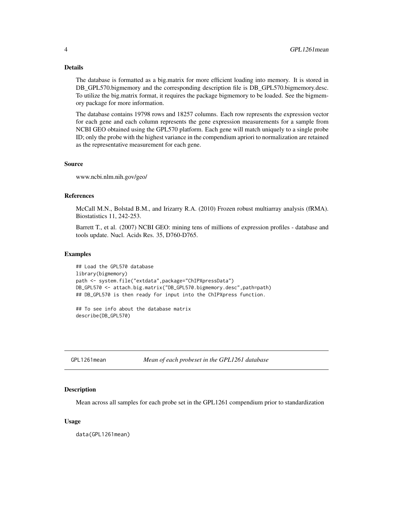#### <span id="page-3-0"></span>Details

The database is formatted as a big.matrix for more efficient loading into memory. It is stored in DB\_GPL570.bigmemory and the corresponding description file is DB\_GPL570.bigmemory.desc. To utilize the big.matrix format, it requires the package bigmemory to be loaded. See the bigmemory package for more information.

The database contains 19798 rows and 18257 columns. Each row represents the expression vector for each gene and each column represents the gene expression measurements for a sample from NCBI GEO obtained using the GPL570 platform. Each gene will match uniquely to a single probe ID; only the probe with the highest variance in the compendium apriori to normalization are retained as the representative measurement for each gene.

#### Source

www.ncbi.nlm.nih.gov/geo/

#### References

McCall M.N., Bolstad B.M., and Irizarry R.A. (2010) Frozen robust multiarray analysis (fRMA). Biostatistics 11, 242-253.

Barrett T., et al. (2007) NCBI GEO: mining tens of millions of expression profiles - database and tools update. Nucl. Acids Res. 35, D760-D765.

#### Examples

```
## Load the GPL570 database
library(bigmemory)
path <- system.file("extdata",package="ChIPXpressData")
DB_GPL570 <- attach.big.matrix("DB_GPL570.bigmemory.desc",path=path)
## DB_GPL570 is then ready for input into the ChIPXpress function.
```
## To see info about the database matrix describe(DB\_GPL570)

GPL1261mean *Mean of each probeset in the GPL1261 database*

#### **Description**

Mean across all samples for each probe set in the GPL1261 compendium prior to standardization

#### Usage

data(GPL1261mean)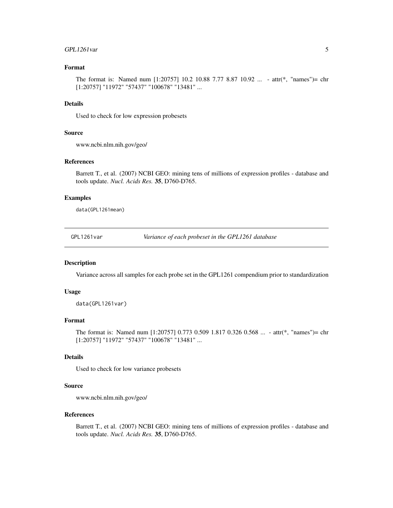#### <span id="page-4-0"></span>GPL1261var 5

#### Format

The format is: Named num [1:20757] 10.2 10.88 7.77 8.87 10.92 ... - attr(\*, "names")= chr [1:20757] "11972" "57437" "100678" "13481" ...

#### Details

Used to check for low expression probesets

#### Source

www.ncbi.nlm.nih.gov/geo/

#### References

Barrett T., et al. (2007) NCBI GEO: mining tens of millions of expression profiles - database and tools update. *Nucl. Acids Res.* 35, D760-D765.

#### Examples

data(GPL1261mean)

GPL1261var *Variance of each probeset in the GPL1261 database*

#### Description

Variance across all samples for each probe set in the GPL1261 compendium prior to standardization

#### Usage

data(GPL1261var)

#### Format

The format is: Named num [1:20757] 0.773 0.509 1.817 0.326 0.568 ... - attr(\*, "names")= chr [1:20757] "11972" "57437" "100678" "13481" ...

#### Details

Used to check for low variance probesets

#### Source

www.ncbi.nlm.nih.gov/geo/

#### References

Barrett T., et al. (2007) NCBI GEO: mining tens of millions of expression profiles - database and tools update. *Nucl. Acids Res.* 35, D760-D765.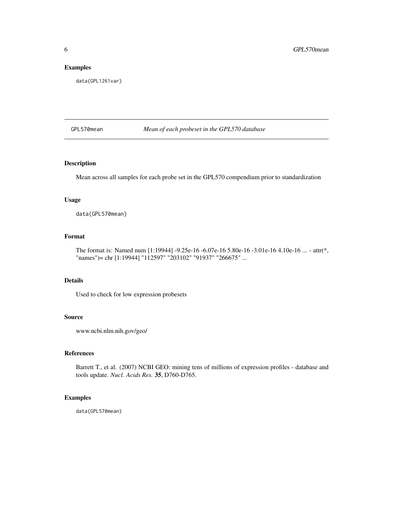#### <span id="page-5-0"></span>Examples

data(GPL1261var)

GPL570mean *Mean of each probeset in the GPL570 database*

#### Description

Mean across all samples for each probe set in the GPL570 compendium prior to standardization

#### Usage

data(GPL570mean)

#### Format

The format is: Named num [1:19944] -9.25e-16 -6.07e-16 5.80e-16 -3.01e-16 4.10e-16 ... - attr(\*, "names")= chr [1:19944] "112597" "203102" "91937" "266675" ...

#### Details

Used to check for low expression probesets

#### Source

www.ncbi.nlm.nih.gov/geo/

#### References

Barrett T., et al. (2007) NCBI GEO: mining tens of millions of expression profiles - database and tools update. *Nucl. Acids Res.* 35, D760-D765.

#### Examples

data(GPL570mean)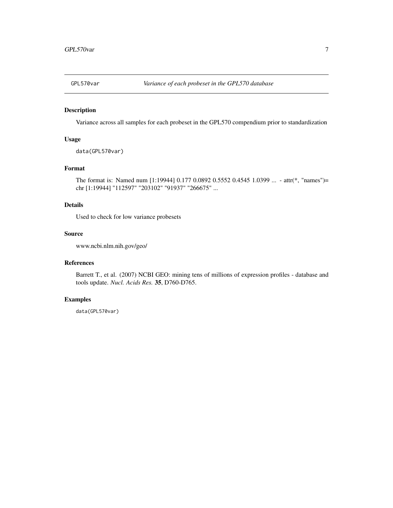<span id="page-6-0"></span>

#### Description

Variance across all samples for each probeset in the GPL570 compendium prior to standardization

#### Usage

```
data(GPL570var)
```
#### Format

The format is: Named num [1:19944] 0.177 0.0892 0.5552 0.4545 1.0399 ... - attr(\*, "names")= chr [1:19944] "112597" "203102" "91937" "266675" ...

#### Details

Used to check for low variance probesets

#### Source

www.ncbi.nlm.nih.gov/geo/

#### References

Barrett T., et al. (2007) NCBI GEO: mining tens of millions of expression profiles - database and tools update. *Nucl. Acids Res.* 35, D760-D765.

#### Examples

data(GPL570var)